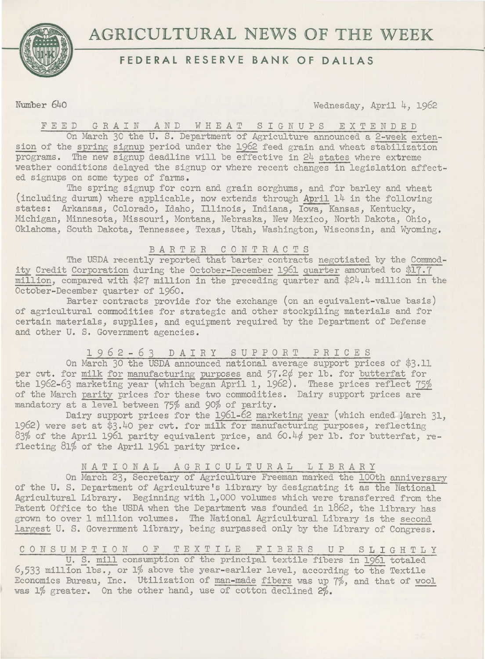

# **FEDERAL RESERVE BANK OF DALLAS**

**Number 640 Wednesday, April 4, 1962** 

FEED GRAIN AND WHEAT SIGNUPS EXTENDED

On March 30 the U. S. Department of Agriculture announced a 2-week extension of the spring signup period under the 1962 feed grain and wheat stabilization programs. The new signup deadline will be effective in 24 states where extreme weather conditions delayed the signup or where recent changes in legislation affected signups on some types of farms.

The spring signup for corn and grain sorghums, and for barley and wheat (including durum) where applicable, now extends through April 14 in the following states: Arkansas, Colorado, Idaho, Illinois, Indiana, Iowa, Kansas, Kentucky, Michigan, Minnesota, Missouri, Montana, Nebraska, New Mexico, North Dakota, Ohio, Oklahoma, South Dakota, Tennessee, Texas, Utah, Washington, Wisconsin, and Wyoming .

## BARTER CONTRACTS

The USDA recently reported that barter contracts negotiated by the Commodity Credit Corporation during the October-December 1961 quarter amounted to \$17.7 million, compared with \$27 million in the preceding quarter and \$24.4 million in the October-December quarter of 1960.

Barter contracts provide for the exchange (on an equivalent-value basis) of agricultural commodities for strategic and other stockpiling materials and for certain materials, supplies, and equipment required by the Department of Defense and other U. S. Government agencies.

## 1 9 *6* 2 - *6* 3 D A I R Y S U P P 0 R T P R I C E S

On March 30 the USDA announced national average support prices of \$3.11 per cwt. for milk for manufacturing purposes and 57.2¢ per 1b. for butterfat for the 1962-63 marketing year (which began April 1, 1962). These prices reflect 75% of the March parity prices for these two commodities. Dairy support prices are mandatory at a level between 75% and 90% of parity.

Dairy support prices for the 1961-62 marketing year (which ended March 31, 1962) were set at \$3.40 per cwt. for milk for manufacturing purposes, reflecting  $83\%$  of the April 1961 parity equivalent price, and  $60.4\phi$  per lb. for butterfat, reflecting 81% of the April 1961 parity price.

## NATIONAL AGRICULTURAL LIBRARY

On March 23, Secretary of Agriculture Freeman marked the lOOth anniversary of the U. S. Department of Agriculture's library by designating it as the National Agricultural Library. Beginning with 1,000 volumes which were transferred from the Patent Office to the USDA when the Department was founded in 1862, the library has grown to over 1 million volumes. The National Agricultural Library is the second largest U. S. Government library, being surpassed only by the Library of Congress.

C 0 N S U M P T I 0 N 0 F T E X T I L E F I B E R S U P S **L** I G H T L Y

U. S. mill consumption of the principal textile fibers in 1961 totaled  $6,533$  million lbs., or 1% above the year-earlier level, according to the Textile Economics Bureau, Inc. Utilization of man-made fibers was up 7%, and that of wool was 1% greater. On the other hand, use of cotton declined 2%.